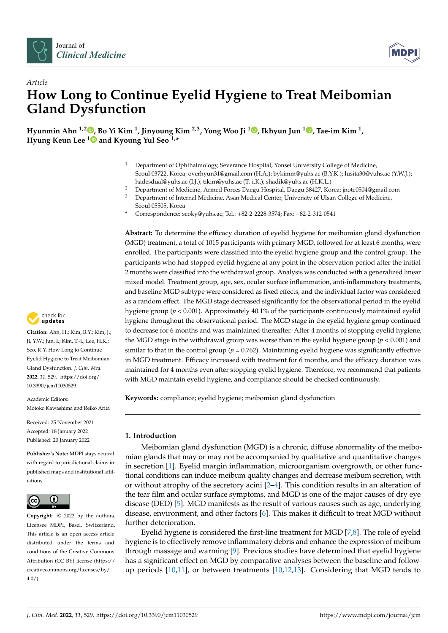



# *Article* **How Long to Continue Eyelid Hygiene to Treat Meibomian Gland Dysfunction**

**Hyunmin Ahn 1,2 [,](https://orcid.org/0000-0003-1529-5123) Bo Yi Kim <sup>1</sup> , Jinyoung Kim 2,3, Yong Woo Ji [1](https://orcid.org/0000-0002-7211-6278) , Ikhyun Jun <sup>1</sup> [,](https://orcid.org/0000-0002-2160-1679) Tae-im Kim <sup>1</sup> , Hyung Keun Lee [1](https://orcid.org/0000-0002-1123-2136) and Kyoung Yul Seo 1,\***

- <sup>1</sup> Department of Ophthalmology, Severance Hospital, Yonsei University College of Medicine, Seoul 03722, Korea; overhyun31@gmail.com (H.A.); bykimm@yuhs.ac (B.Y.K.); lusita30@yuhs.ac (Y.W.J.); hadesdual@yuhs.ac (I.J.); tikim@yuhs.ac (T.-i.K.); shadik@yuhs.ac (H.K.L.)
- <sup>2</sup> Department of Medicine, Armed Forces Daegu Hospital, Daegu 38427, Korea; jnote0504@gmail.com<br><sup>3</sup> Department of Integral Medicine, Agen Medical Center University of Ulsen Callage of Medicine
- <sup>3</sup> Department of Internal Medicine, Asan Medical Center, University of Ulsan College of Medicine, Seoul 05505, Korea
- **\*** Correspondence: seoky@yuhs.ac; Tel.: +82-2-2228-3574; Fax: +82-2-312-0541

**Abstract:** To determine the efficacy duration of eyelid hygiene for meibomian gland dysfunction (MGD) treatment, a total of 1015 participants with primary MGD, followed for at least 6 months, were enrolled. The participants were classified into the eyelid hygiene group and the control group. The participants who had stopped eyelid hygiene at any point in the observation period after the initial 2 months were classified into the withdrawal group. Analysis was conducted with a generalized linear mixed model. Treatment group, age, sex, ocular surface inflammation, anti-inflammatory treatments, and baseline MGD subtype were considered as fixed effects, and the individual factor was considered as a random effect. The MGD stage decreased significantly for the observational period in the eyelid hygiene group (*p* < 0.001). Approximately 40.1% of the participants continuously maintained eyelid hygiene throughout the observational period. The MGD stage in the eyelid hygiene group continued to decrease for 6 months and was maintained thereafter. After 4 months of stopping eyelid hygiene, the MGD stage in the withdrawal group was worse than in the eyelid hygiene group (*p* < 0.001) and similar to that in the control group ( $p = 0.762$ ). Maintaining eyelid hygiene was significantly effective in MGD treatment. Efficacy increased with treatment for 6 months, and the efficacy duration was maintained for 4 months even after stopping eyelid hygiene. Therefore, we recommend that patients with MGD maintain eyelid hygiene, and compliance should be checked continuously.

**Keywords:** compliance; eyelid hygiene; meibomian gland dysfunction

# **1. Introduction**

Meibomian gland dysfunction (MGD) is a chronic, diffuse abnormality of the meibomian glands that may or may not be accompanied by qualitative and quantitative changes in secretion [\[1\]](#page-7-0). Eyelid margin inflammation, microorganism overgrowth, or other functional conditions can induce meibum quality changes and decrease meibum secretion, with or without atrophy of the secretory acini [\[2–](#page-7-1)[4\]](#page-7-2). This condition results in an alteration of the tear film and ocular surface symptoms, and MGD is one of the major causes of dry eye disease (DED) [\[5\]](#page-7-3). MGD manifests as the result of various causes such as age, underlying disease, environment, and other factors [\[6\]](#page-7-4). This makes it difficult to treat MGD without further deterioration.

Eyelid hygiene is considered the first-line treatment for MGD [\[7,](#page-7-5)[8\]](#page-7-6). The role of eyelid hygiene is to effectively remove inflammatory debris and enhance the expression of meibum through massage and warming [\[9\]](#page-7-7). Previous studies have determined that eyelid hygiene has a significant effect on MGD by comparative analyses between the baseline and followup periods [\[10](#page-7-8)[,11\]](#page-7-9), or between treatments [\[10,](#page-7-8)[12](#page-7-10)[,13\]](#page-7-11). Considering that MGD tends to



**Citation:** Ahn, H.; Kim, B.Y.; Kim, J.; Ji, Y.W.; Jun, I.; Kim, T.-i.; Lee, H.K.; Seo, K.Y. How Long to Continue Eyelid Hygiene to Treat Meibomian Gland Dysfunction. *J. Clin. Med.* **2022**, *11*, 529. [https://doi.org/](https://doi.org/10.3390/jcm11030529) [10.3390/jcm11030529](https://doi.org/10.3390/jcm11030529)

Academic Editors: Motoko Kawashima and Reiko Arita

Received: 25 November 2021 Accepted: 18 January 2022 Published: 20 January 2022

**Publisher's Note:** MDPI stays neutral with regard to jurisdictional claims in published maps and institutional affiliations.



**Copyright:** © 2022 by the authors. Licensee MDPI, Basel, Switzerland. This article is an open access article distributed under the terms and conditions of the Creative Commons Attribution (CC BY) license [\(https://](https://creativecommons.org/licenses/by/4.0/) [creativecommons.org/licenses/by/](https://creativecommons.org/licenses/by/4.0/)  $4.0/$ ).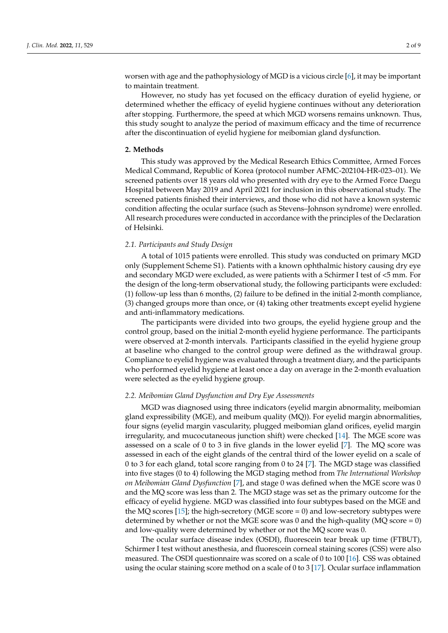worsen with age and the pathophysiology of MGD is a vicious circle [\[6\]](#page-7-4), it may be important to maintain treatment.

However, no study has yet focused on the efficacy duration of eyelid hygiene, or determined whether the efficacy of eyelid hygiene continues without any deterioration after stopping. Furthermore, the speed at which MGD worsens remains unknown. Thus, this study sought to analyze the period of maximum efficacy and the time of recurrence after the discontinuation of eyelid hygiene for meibomian gland dysfunction.

## **2. Methods**

This study was approved by the Medical Research Ethics Committee, Armed Forces Medical Command, Republic of Korea (protocol number AFMC-202104-HR-023–01). We screened patients over 18 years old who presented with dry eye to the Armed Force Daegu Hospital between May 2019 and April 2021 for inclusion in this observational study. The screened patients finished their interviews, and those who did not have a known systemic condition affecting the ocular surface (such as Stevens–Johnson syndrome) were enrolled. All research procedures were conducted in accordance with the principles of the Declaration of Helsinki.

# *2.1. Participants and Study Design*

A total of 1015 patients were enrolled. This study was conducted on primary MGD only (Supplement Scheme S1). Patients with a known ophthalmic history causing dry eye and secondary MGD were excluded, as were patients with a Schirmer I test of <5 mm. For the design of the long-term observational study, the following participants were excluded: (1) follow-up less than 6 months, (2) failure to be defined in the initial 2-month compliance, (3) changed groups more than once, or (4) taking other treatments except eyelid hygiene and anti-inflammatory medications.

The participants were divided into two groups, the eyelid hygiene group and the control group, based on the initial 2-month eyelid hygiene performance. The participants were observed at 2-month intervals. Participants classified in the eyelid hygiene group at baseline who changed to the control group were defined as the withdrawal group. Compliance to eyelid hygiene was evaluated through a treatment diary, and the participants who performed eyelid hygiene at least once a day on average in the 2-month evaluation were selected as the eyelid hygiene group.

#### *2.2. Meibomian Gland Dysfunction and Dry Eye Assessments*

MGD was diagnosed using three indicators (eyelid margin abnormality, meibomian gland expressibility (MGE), and meibum quality (MQ)). For eyelid margin abnormalities, four signs (eyelid margin vascularity, plugged meibomian gland orifices, eyelid margin irregularity, and mucocutaneous junction shift) were checked [\[14\]](#page-7-12). The MGE score was assessed on a scale of 0 to 3 in five glands in the lower eyelid [\[7\]](#page-7-5). The MQ score was assessed in each of the eight glands of the central third of the lower eyelid on a scale of 0 to 3 for each gland, total score ranging from 0 to 24 [\[7\]](#page-7-5). The MGD stage was classified into five stages (0 to 4) following the MGD staging method from *The International Workshop on Meibomian Gland Dysfunction* [\[7\]](#page-7-5), and stage 0 was defined when the MGE score was 0 and the MQ score was less than 2. The MGD stage was set as the primary outcome for the efficacy of eyelid hygiene. MGD was classified into four subtypes based on the MGE and the MQ scores [\[15\]](#page-7-13); the high-secretory (MGE score  $= 0$ ) and low-secretory subtypes were determined by whether or not the MGE score was 0 and the high-quality (MQ score = 0) and low-quality were determined by whether or not the MQ score was 0.

The ocular surface disease index (OSDI), fluorescein tear break up time (FTBUT), Schirmer I test without anesthesia, and fluorescein corneal staining scores (CSS) were also measured. The OSDI questionnaire was scored on a scale of 0 to 100 [\[16\]](#page-7-14). CSS was obtained using the ocular staining score method on a scale of 0 to 3 [\[17\]](#page-7-15). Ocular surface inflammation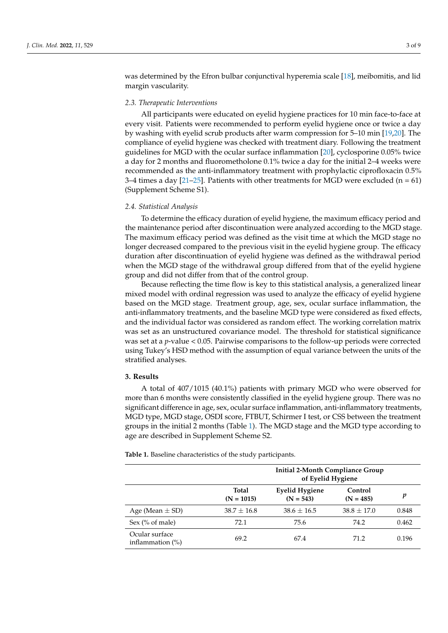was determined by the Efron bulbar conjunctival hyperemia scale [\[18\]](#page-7-16), meibomitis, and lid margin vascularity.

## *2.3. Therapeutic Interventions*

All participants were educated on eyelid hygiene practices for 10 min face-to-face at every visit. Patients were recommended to perform eyelid hygiene once or twice a day by washing with eyelid scrub products after warm compression for 5–10 min [\[19,](#page-7-17)[20\]](#page-7-18). The compliance of eyelid hygiene was checked with treatment diary. Following the treatment guidelines for MGD with the ocular surface inflammation [\[20\]](#page-7-18), cyclosporine 0.05% twice a day for 2 months and fluorometholone 0.1% twice a day for the initial 2–4 weeks were recommended as the anti-inflammatory treatment with prophylactic ciprofloxacin 0.5% 3–4 times a day [\[21–](#page-7-19)[25\]](#page-8-0). Patients with other treatments for MGD were excluded ( $n = 61$ ) (Supplement Scheme S1).

#### *2.4. Statistical Analysis*

To determine the efficacy duration of eyelid hygiene, the maximum efficacy period and the maintenance period after discontinuation were analyzed according to the MGD stage. The maximum efficacy period was defined as the visit time at which the MGD stage no longer decreased compared to the previous visit in the eyelid hygiene group. The efficacy duration after discontinuation of eyelid hygiene was defined as the withdrawal period when the MGD stage of the withdrawal group differed from that of the eyelid hygiene group and did not differ from that of the control group.

Because reflecting the time flow is key to this statistical analysis, a generalized linear mixed model with ordinal regression was used to analyze the efficacy of eyelid hygiene based on the MGD stage. Treatment group, age, sex, ocular surface inflammation, the anti-inflammatory treatments, and the baseline MGD type were considered as fixed effects, and the individual factor was considered as random effect. The working correlation matrix was set as an unstructured covariance model. The threshold for statistical significance was set at a *p*-value < 0.05. Pairwise comparisons to the follow-up periods were corrected using Tukey's HSD method with the assumption of equal variance between the units of the stratified analyses.

#### **3. Results**

A total of 407/1015 (40.1%) patients with primary MGD who were observed for more than 6 months were consistently classified in the eyelid hygiene group. There was no significant difference in age, sex, ocular surface inflammation, anti-inflammatory treatments, MGD type, MGD stage, OSDI score, FTBUT, Schirmer I test, or CSS between the treatment groups in the initial 2 months (Table [1\)](#page-3-0). The MGD stage and the MGD type according to age are described in Supplement Scheme S2.

**Table 1.** Baseline characteristics of the study participants.

|                                       | <b>Initial 2-Month Compliance Group</b><br>of Eyelid Hygiene |                                      |                        |       |  |
|---------------------------------------|--------------------------------------------------------------|--------------------------------------|------------------------|-------|--|
|                                       | <b>Total</b><br>$(N = 1015)$                                 | <b>Eyelid Hygiene</b><br>$(N = 543)$ | Control<br>$(N = 485)$ | v     |  |
| Age (Mean $\pm$ SD)                   | $38.7 \pm 16.8$                                              | $38.6 \pm 16.5$                      | $38.8 \pm 17.0$        | 0.848 |  |
| Sex $(\%$ of male)                    | 72.1                                                         | 75.6                                 | 74.2                   | 0.462 |  |
| Ocular surface<br>inflammation $(\%)$ | 69.2                                                         | 67.4                                 | 71.2                   | 0.196 |  |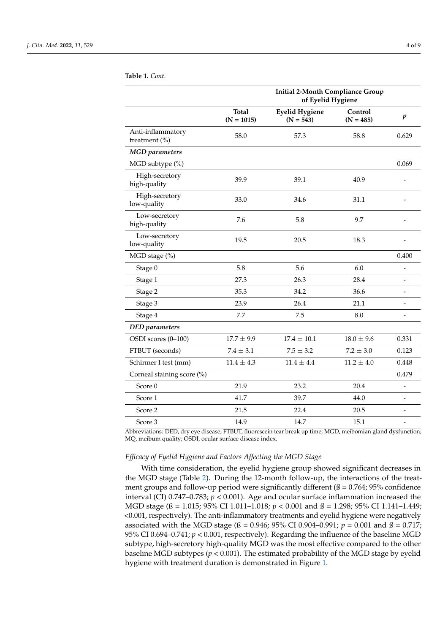|                                       | <b>Initial 2-Month Compliance Group</b><br>of Eyelid Hygiene |                                      |                        |                          |  |
|---------------------------------------|--------------------------------------------------------------|--------------------------------------|------------------------|--------------------------|--|
|                                       | <b>Total</b><br>$(N = 1015)$                                 | <b>Eyelid Hygiene</b><br>$(N = 543)$ | Control<br>$(N = 485)$ | $\boldsymbol{p}$         |  |
| Anti-inflammatory<br>treatment $(\%)$ | 58.0                                                         | 57.3                                 | 58.8                   | 0.629                    |  |
| <b>MGD</b> parameters                 |                                                              |                                      |                        |                          |  |
| MGD subtype (%)                       |                                                              |                                      |                        | 0.069                    |  |
| High-secretory<br>high-quality        | 39.9                                                         | 39.1                                 | 40.9                   |                          |  |
| High-secretory<br>low-quality         | 33.0                                                         | 34.6                                 | 31.1                   |                          |  |
| Low-secretory<br>high-quality         | 7.6                                                          | 5.8                                  | 9.7                    |                          |  |
| Low-secretory<br>low-quality          | 19.5                                                         | 20.5                                 | 18.3                   |                          |  |
| MGD stage (%)                         |                                                              |                                      |                        | 0.400                    |  |
| Stage 0                               | 5.8                                                          | 5.6                                  | 6.0                    | $\overline{a}$           |  |
| Stage 1                               | 27.3                                                         | 26.3                                 | 28.4                   |                          |  |
| Stage 2                               | 35.3                                                         | 34.2                                 | 36.6                   | $\overline{a}$           |  |
| Stage 3                               | 23.9                                                         | 26.4                                 | 21.1                   | $\overline{a}$           |  |
| Stage 4                               | 7.7                                                          | 7.5                                  | 8.0                    | $\overline{\phantom{0}}$ |  |
| <b>DED</b> parameters                 |                                                              |                                      |                        |                          |  |
| OSDI scores (0-100)                   | $17.7 \pm 9.9$                                               | $17.4 \pm 10.1$                      | $18.0 \pm 9.6$         | 0.331                    |  |
| FTBUT (seconds)                       | $7.4 \pm 3.1$                                                | $7.5 \pm 3.2$                        | $7.2 \pm 3.0$          | 0.123                    |  |
| Schirmer I test (mm)                  | $11.4 \pm 4.3$                                               | $11.4 \pm 4.4$                       | $11.2 \pm 4.0$         | 0.448                    |  |
| Corneal staining score (%)            |                                                              |                                      |                        | 0.479                    |  |
| Score 0                               | 21.9                                                         | 23.2                                 | 20.4                   | -                        |  |
| Score 1                               | 41.7                                                         | 39.7                                 | 44.0                   |                          |  |
| Score 2                               | 21.5                                                         | 22.4                                 | 20.5                   |                          |  |
| Score 3                               | 14.9                                                         | 14.7                                 | 15.1                   | $\overline{\phantom{0}}$ |  |

#### <span id="page-3-0"></span>**Table 1.** *Cont.*

Abbreviations: DED, dry eye disease; FTBUT, fluorescein tear break up time; MGD, meibomian gland dysfunction; MQ, meibum quality; OSDI, ocular surface disease index.

# *Efficacy of Eyelid Hygiene and Factors Affecting the MGD Stage*

With time consideration, the eyelid hygiene group showed significant decreases in the MGD stage (Table [2\)](#page-4-0). During the 12-month follow-up, the interactions of the treatment groups and follow-up period were significantly different ( $\beta$  = 0.764; 95% confidence interval (CI)  $0.747-0.783$ ;  $p < 0.001$ ). Age and ocular surface inflammation increased the MGD stage (ß = 1.015; 95% CI 1.011–1.018; *p* < 0.001 and ß = 1.298; 95% CI 1.141–1.449; <0.001, respectively). The anti-inflammatory treatments and eyelid hygiene were negatively associated with the MGD stage (ß = 0.946; 95% CI 0.904–0.991; *p* = 0.001 and ß = 0.717; 95% CI 0.694–0.741; *p* < 0.001, respectively). Regarding the influence of the baseline MGD subtype, high-secretory high-quality MGD was the most effective compared to the other baseline MGD subtypes ( $p < 0.001$ ). The estimated probability of the MGD stage by eyelid hygiene with treatment duration is demonstrated in Figure [1.](#page-5-0)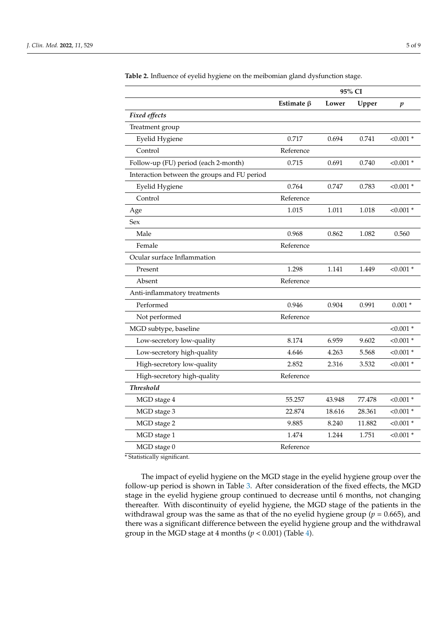|                                              | 95% CI           |        |        |                  |
|----------------------------------------------|------------------|--------|--------|------------------|
|                                              | Estimate $\beta$ | Lower  | Upper  | $\boldsymbol{p}$ |
| Fixed effects                                |                  |        |        |                  |
| Treatment group                              |                  |        |        |                  |
| Eyelid Hygiene                               | 0.717            | 0.694  | 0.741  | $< 0.001$ *      |
| Control                                      | Reference        |        |        |                  |
| Follow-up (FU) period (each 2-month)         | 0.715            | 0.691  | 0.740  | $< 0.001$ *      |
| Interaction between the groups and FU period |                  |        |        |                  |
| Eyelid Hygiene                               | 0.764            | 0.747  | 0.783  | $< 0.001$ *      |
| Control                                      | Reference        |        |        |                  |
| Age                                          | 1.015            | 1.011  | 1.018  | $< 0.001$ *      |
| Sex                                          |                  |        |        |                  |
| Male                                         | 0.968            | 0.862  | 1.082  | 0.560            |
| Female                                       | Reference        |        |        |                  |
| Ocular surface Inflammation                  |                  |        |        |                  |
| Present                                      | 1.298            | 1.141  | 1.449  | $< 0.001$ *      |
| Absent                                       | Reference        |        |        |                  |
| Anti-inflammatory treatments                 |                  |        |        |                  |
| Performed                                    | 0.946            | 0.904  | 0.991  | $0.001 *$        |
| Not performed                                | Reference        |        |        |                  |
| MGD subtype, baseline                        |                  |        |        | $< 0.001$ *      |
| Low-secretory low-quality                    | 8.174            | 6.959  | 9.602  | $< 0.001$ *      |
| Low-secretory high-quality                   | 4.646            | 4.263  | 5.568  | $< 0.001$ *      |
| High-secretory low-quality                   | 2.852            | 2.316  | 3.532  | $< 0.001$ *      |
| High-secretory high-quality                  | Reference        |        |        |                  |
| <b>Threshold</b>                             |                  |        |        |                  |
| MGD stage 4                                  | 55.257           | 43.948 | 77.478 | $< 0.001$ *      |
| MGD stage 3                                  | 22.874           | 18.616 | 28.361 | $< 0.001$ *      |
| MGD stage 2                                  | 9.885            | 8.240  | 11.882 | $< 0.001$ *      |
| MGD stage 1                                  | 1.474            | 1.244  | 1.751  | $< 0.001$ *      |
| MGD stage 0                                  | Reference        |        |        |                  |

<span id="page-4-0"></span>**Table 2.** Influence of eyelid hygiene on the meibomian gland dysfunction stage.

\* Statistically significant.

The impact of eyelid hygiene on the MGD stage in the eyelid hygiene group over the follow-up period is shown in Table [3.](#page-5-1) After consideration of the fixed effects, the MGD stage in the eyelid hygiene group continued to decrease until 6 months, not changing thereafter. With discontinuity of eyelid hygiene, the MGD stage of the patients in the withdrawal group was the same as that of the no eyelid hygiene group (*p* = 0.665), and there was a significant difference between the eyelid hygiene group and the withdrawal group in the MGD stage at 4 months  $(p < 0.001)$  (Table [4\)](#page-5-2).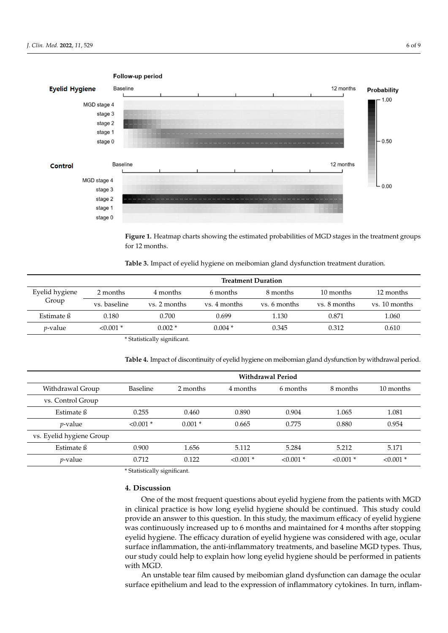<span id="page-5-0"></span>

For  $\mathbf{r}$  heatmap charts show the estimated probabilities of  $\mathbf{r}$  mg  $\mathbf{r}$  states in the treatment **Figure 1.** Heatmap charts showing the estimated probabilities of MGD stages in the treatment groups for 12 months.

<span id="page-5-1"></span>Table 3. Impact of eyelid hygiene on meibomian gland dysfunction treatment duration.

|                 | <b>Treatment Duration</b> |                              |              |              |              |               |
|-----------------|---------------------------|------------------------------|--------------|--------------|--------------|---------------|
| Eyelid hygiene  | 2 months                  | 4 months                     | 6 months     | 8 months     | 10 months    | 12 months     |
| Group           | vs. baseline              | vs. 2 months                 | ys. 4 months | vs. 6 months | vs. 8 months | ys. 10 months |
| Estimate ß      | 0.180                     | 0.700                        | 0.699        | 1.130        | 0.871        | 1.060         |
| <i>p</i> -value | $< 0.001$ *               | $0.002*$                     | $0.004*$     | 0.345        | 0.312        | 0.610         |
|                 |                           | * Statistically significant. |              |              |              |               |

<span id="page-5-2"></span>**Table 3.** Impact of eyelid hygiene on meibomian gland dysfunction treatment duration. **Table 4.** Impact of discontinuity of eyelid hygiene on meibomian gland dysfunction by withdrawal period.

|                          | <b>Withdrawal Period</b> |          |             |             |             |             |
|--------------------------|--------------------------|----------|-------------|-------------|-------------|-------------|
| Withdrawal Group         | Baseline                 | 2 months | 4 months    | 6 months    | 8 months    | 10 months   |
| vs. Control Group        |                          |          |             |             |             |             |
| Estimate ß               | 0.255                    | 0.460    | 0.890       | 0.904       | 1.065       | 1.081       |
| $p$ -value               | $< 0.001$ *              | $0.001*$ | 0.665       | 0.775       | 0.880       | 0.954       |
| vs. Eyelid hygiene Group |                          |          |             |             |             |             |
| Estimate ß               | 0.900                    | 1.656    | 5.112       | 5.284       | 5.212       | 5.171       |
| $p$ -value               | 0.712                    | 0.122    | $< 0.001$ * | $< 0.001$ * | $< 0.001$ * | $< 0.001$ * |

Withdrawal Group Baseline 2 months 4 months 6 months 8 months 10 months \* Statistically significant.

# **4. Discussion**

Estimate Stimate Stimate Stimate Stimate Stimate Stimate Stimate Stimate Stimate Stimate Stimate Stimate Stima<br>District Stimate Stimate Stimate Stimate Stimate Stimate Stimate Stimate Stimate Stimate Stimate Stimate Stima One of the most frequent questions about eyelid hygiene from the patients with MGD<br>in plittical number is homely assessed the patients who defines the patients with MGD vs. Eyelid hygiene Group was continuously increased up to 6 months and maintained for 4 months after stopping eyelid hygiene. The efficacy duration of eyelid hygiene was considered with age, ocular surface inflammation, the anti-inflammatory treatments, and baseline MGD types. Thus, in clinical practice is how long eyelid hygiene should be continued. This study could provide an answer to this question. In this study, the maximum efficacy of eyelid hygiene our study could help to explain how long eyelid hygiene should be performed in patients with MGD.

> An unstable tear film caused by meibomian gland dysfunction can damage the ocular surface epithelium and lead to the expression of inflammatory cytokines. In turn, inflam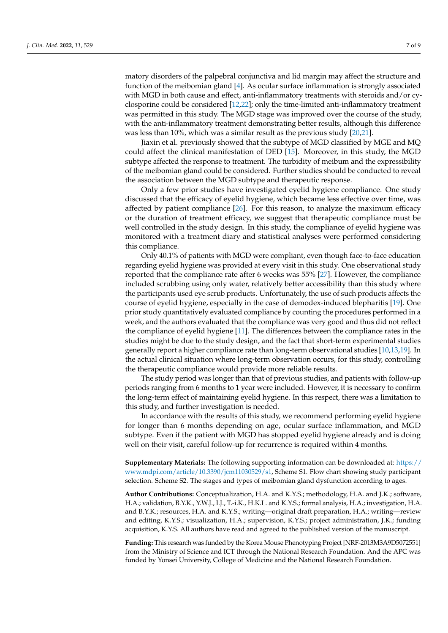matory disorders of the palpebral conjunctiva and lid margin may affect the structure and function of the meibomian gland [\[4\]](#page-7-2). As ocular surface inflammation is strongly associated with MGD in both cause and effect, anti-inflammatory treatments with steroids and/or cyclosporine could be considered [\[12,](#page-7-10)[22\]](#page-8-1); only the time-limited anti-inflammatory treatment was permitted in this study. The MGD stage was improved over the course of the study, with the anti-inflammatory treatment demonstrating better results, although this difference was less than 10%, which was a similar result as the previous study [\[20,](#page-7-18)[21\]](#page-7-19).

Jiaxin et al. previously showed that the subtype of MGD classified by MGE and MQ could affect the clinical manifestation of DED [\[15\]](#page-7-13). Moreover, in this study, the MGD subtype affected the response to treatment. The turbidity of meibum and the expressibility of the meibomian gland could be considered. Further studies should be conducted to reveal the association between the MGD subtype and therapeutic response.

Only a few prior studies have investigated eyelid hygiene compliance. One study discussed that the efficacy of eyelid hygiene, which became less effective over time, was affected by patient compliance [\[26\]](#page-8-2). For this reason, to analyze the maximum efficacy or the duration of treatment efficacy, we suggest that therapeutic compliance must be well controlled in the study design. In this study, the compliance of eyelid hygiene was monitored with a treatment diary and statistical analyses were performed considering this compliance.

Only 40.1% of patients with MGD were compliant, even though face-to-face education regarding eyelid hygiene was provided at every visit in this study. One observational study reported that the compliance rate after 6 weeks was 55% [\[27\]](#page-8-3). However, the compliance included scrubbing using only water, relatively better accessibility than this study where the participants used eye scrub products. Unfortunately, the use of such products affects the course of eyelid hygiene, especially in the case of demodex-induced blepharitis [\[19\]](#page-7-17). One prior study quantitatively evaluated compliance by counting the procedures performed in a week, and the authors evaluated that the compliance was very good and thus did not reflect the compliance of eyelid hygiene [\[11\]](#page-7-9). The differences between the compliance rates in the studies might be due to the study design, and the fact that short-term experimental studies generally report a higher compliance rate than long-term observational studies [\[10](#page-7-8)[,13](#page-7-11)[,19\]](#page-7-17). In the actual clinical situation where long-term observation occurs, for this study, controlling the therapeutic compliance would provide more reliable results.

The study period was longer than that of previous studies, and patients with follow-up periods ranging from 6 months to 1 year were included. However, it is necessary to confirm the long-term effect of maintaining eyelid hygiene. In this respect, there was a limitation to this study, and further investigation is needed.

In accordance with the results of this study, we recommend performing eyelid hygiene for longer than 6 months depending on age, ocular surface inflammation, and MGD subtype. Even if the patient with MGD has stopped eyelid hygiene already and is doing well on their visit, careful follow-up for recurrence is required within 4 months.

**Supplementary Materials:** The following supporting information can be downloaded at: [https://](https://www.mdpi.com/article/10.3390/jcm11030529/s1) [www.mdpi.com/article/10.3390/jcm11030529/s1,](https://www.mdpi.com/article/10.3390/jcm11030529/s1) Scheme S1. Flow chart showing study participant selection. Scheme S2. The stages and types of meibomian gland dysfunction according to ages.

**Author Contributions:** Conceptualization, H.A. and K.Y.S.; methodology, H.A. and J.K.; software, H.A.; validation, B.Y.K., Y.W.J., I.J., T.-i.K., H.K.L. and K.Y.S.; formal analysis, H.A.; investigation, H.A. and B.Y.K.; resources, H.A. and K.Y.S.; writing—original draft preparation, H.A.; writing—review and editing, K.Y.S.; visualization, H.A.; supervision, K.Y.S.; project administration, J.K.; funding acquisition, K.Y.S. All authors have read and agreed to the published version of the manuscript.

**Funding:** This research was funded by the Korea Mouse Phenotyping Project [NRF-2013M3A9D5072551] from the Ministry of Science and ICT through the National Research Foundation. And the APC was funded by Yonsei University, College of Medicine and the National Research Foundation.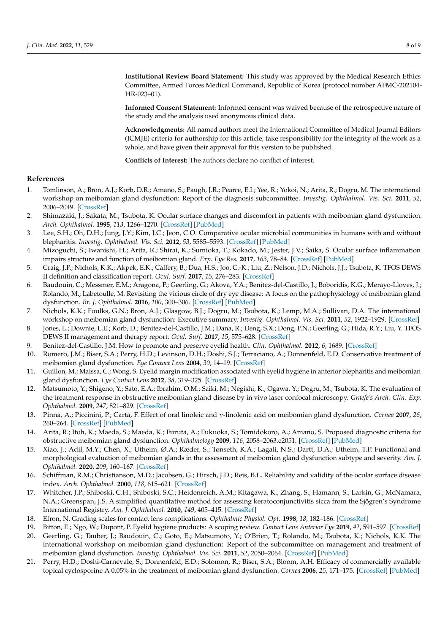**Institutional Review Board Statement:** This study was approved by the Medical Research Ethics Committee, Armed Forces Medical Command, Republic of Korea (protocol number AFMC-202104- HR-023–01).

**Informed Consent Statement:** Informed consent was waived because of the retrospective nature of the study and the analysis used anonymous clinical data.

**Acknowledgments:** All named authors meet the International Committee of Medical Journal Editors (ICMJE) criteria for authorship for this article, take responsibility for the integrity of the work as a whole, and have given their approval for this version to be published.

**Conflicts of Interest:** The authors declare no conflict of interest.

# **References**

- <span id="page-7-0"></span>1. Tomlinson, A.; Bron, A.J.; Korb, D.R.; Amano, S.; Paugh, J.R.; Pearce, E.I.; Yee, R.; Yokoi, N.; Arita, R.; Dogru, M. The international workshop on meibomian gland dysfunction: Report of the diagnosis subcommittee. *Investig. Ophthalmol. Vis. Sci.* **2011**, *52*, 2006–2049. [\[CrossRef\]](http://doi.org/10.1167/iovs.10-6997f)
- <span id="page-7-1"></span>2. Shimazaki, J.; Sakata, M.; Tsubota, K. Ocular surface changes and discomfort in patients with meibomian gland dysfunction. *Arch. Ophthalmol.* **1995**, *113*, 1266–1270. [\[CrossRef\]](http://doi.org/10.1001/archopht.1995.01100100054027) [\[PubMed\]](http://www.ncbi.nlm.nih.gov/pubmed/7575257)
- 3. Lee, S.H.; Oh, D.H.; Jung, J.Y.; Kim, J.C.; Jeon, C.O. Comparative ocular microbial communities in humans with and without blepharitis. *Investig. Ophthalmol. Vis. Sci.* **2012**, *53*, 5585–5593. [\[CrossRef\]](http://doi.org/10.1167/iovs.12-9922) [\[PubMed\]](http://www.ncbi.nlm.nih.gov/pubmed/22836761)
- <span id="page-7-2"></span>4. Mizoguchi, S.; Iwanishi, H.; Arita, R.; Shirai, K.; Sumioka, T.; Kokado, M.; Jester, J.V.; Saika, S. Ocular surface inflammation impairs structure and function of meibomian gland. *Exp. Eye Res.* **2017**, *163*, 78–84. [\[CrossRef\]](http://doi.org/10.1016/j.exer.2017.06.011) [\[PubMed\]](http://www.ncbi.nlm.nih.gov/pubmed/28950941)
- <span id="page-7-3"></span>5. Craig, J.P.; Nichols, K.K.; Akpek, E.K.; Caffery, B.; Dua, H.S.; Joo, C.-K.; Liu, Z.; Nelson, J.D.; Nichols, J.J.; Tsubota, K. TFOS DEWS II definition and classification report. *Ocul. Surf.* **2017**, *15*, 276–283. [\[CrossRef\]](http://doi.org/10.1016/j.jtos.2017.05.008)
- <span id="page-7-4"></span>6. Baudouin, C.; Messmer, E.M.; Aragona, P.; Geerling, G.; Akova, Y.A.; Benítez-del-Castillo, J.; Boboridis, K.G.; Merayo-Lloves, J.; Rolando, M.; Labetoulle, M. Revisiting the vicious circle of dry eye disease: A focus on the pathophysiology of meibomian gland dysfunction. *Br. J. Ophthalmol.* **2016**, *100*, 300–306. [\[CrossRef\]](http://doi.org/10.1136/bjophthalmol-2015-307415) [\[PubMed\]](http://www.ncbi.nlm.nih.gov/pubmed/26781133)
- <span id="page-7-5"></span>7. Nichols, K.K.; Foulks, G.N.; Bron, A.J.; Glasgow, B.J.; Dogru, M.; Tsubota, K.; Lemp, M.A.; Sullivan, D.A. The international workshop on meibomian gland dysfunction: Executive summary. *Investig. Ophthalmol. Vis. Sci.* **2011**, *52*, 1922–1929. [\[CrossRef\]](http://doi.org/10.1167/iovs.10-6997a)
- <span id="page-7-6"></span>8. Jones, L.; Downie, L.E.; Korb, D.; Benitez-del-Castillo, J.M.; Dana, R.; Deng, S.X.; Dong, P.N.; Geerling, G.; Hida, R.Y.; Liu, Y. TFOS DEWS II management and therapy report. *Ocul. Surf.* **2017**, *15*, 575–628. [\[CrossRef\]](http://doi.org/10.1016/j.jtos.2017.05.006)
- <span id="page-7-7"></span>9. Benitez-del-Castillo, J.M. How to promote and preserve eyelid health. *Clin. Ophthalmol.* **2012**, *6*, 1689. [\[CrossRef\]](http://doi.org/10.2147/OPTH.S33133)
- <span id="page-7-8"></span>10. Romero, J.M.; Biser, S.A.; Perry, H.D.; Levinson, D.H.; Doshi, S.J.; Terraciano, A.; Donnenfeld, E.D. Conservative treatment of meibomian gland dysfunction. *Eye Contact Lens* **2004**, *30*, 14–19. [\[CrossRef\]](http://doi.org/10.1097/01.ICL.0000095229.01957.89)
- <span id="page-7-9"></span>11. Guillon, M.; Maissa, C.; Wong, S. Eyelid margin modification associated with eyelid hygiene in anterior blepharitis and meibomian gland dysfunction. *Eye Contact Lens* **2012**, *38*, 319–325. [\[CrossRef\]](http://doi.org/10.1097/ICL.0b013e318268305a)
- <span id="page-7-10"></span>12. Matsumoto, Y.; Shigeno, Y.; Sato, E.A.; Ibrahim, O.M.; Saiki, M.; Negishi, K.; Ogawa, Y.; Dogru, M.; Tsubota, K. The evaluation of the treatment response in obstructive meibomian gland disease by in vivo laser confocal microscopy. *Graefe's Arch. Clin. Exp. Ophthalmol.* **2009**, *247*, 821–829. [\[CrossRef\]](http://doi.org/10.1007/s00417-008-1017-y)
- <span id="page-7-11"></span>13. Pinna, A.; Piccinini, P.; Carta, F. Effect of oral linoleic and γ-linolenic acid on meibomian gland dysfunction. *Cornea* **2007**, *26*, 260–264. [\[CrossRef\]](http://doi.org/10.1097/ICO.0b013e318033d79b) [\[PubMed\]](http://www.ncbi.nlm.nih.gov/pubmed/17413949)
- <span id="page-7-12"></span>14. Arita, R.; Itoh, K.; Maeda, S.; Maeda, K.; Furuta, A.; Fukuoka, S.; Tomidokoro, A.; Amano, S. Proposed diagnostic criteria for obstructive meibomian gland dysfunction. *Ophthalmology* **2009**, *116*, 2058–2063.e2051. [\[CrossRef\]](http://doi.org/10.1016/j.ophtha.2009.04.037) [\[PubMed\]](http://www.ncbi.nlm.nih.gov/pubmed/19744718)
- <span id="page-7-13"></span>15. Xiao, J.; Adil, M.Y.; Chen, X.; Utheim, Ø.A.; Ræder, S.; Tønseth, K.A.; Lagali, N.S.; Dartt, D.A.; Utheim, T.P. Functional and morphological evaluation of meibomian glands in the assessment of meibomian gland dysfunction subtype and severity. *Am. J. Ophthalmol.* **2020**, *209*, 160–167. [\[CrossRef\]](http://doi.org/10.1016/j.ajo.2019.09.005)
- <span id="page-7-14"></span>16. Schiffman, R.M.; Christianson, M.D.; Jacobsen, G.; Hirsch, J.D.; Reis, B.L. Reliability and validity of the ocular surface disease index. *Arch. Ophthalmol.* **2000**, *118*, 615–621. [\[CrossRef\]](http://doi.org/10.1001/archopht.118.5.615)
- <span id="page-7-15"></span>17. Whitcher, J.P.; Shiboski, C.H.; Shiboski, S.C.; Heidenreich, A.M.; Kitagawa, K.; Zhang, S.; Hamann, S.; Larkin, G.; McNamara, N.A.; Greenspan, J.S. A simplified quantitative method for assessing keratoconjunctivitis sicca from the Sjögren's Syndrome International Registry. *Am. J. Ophthalmol.* **2010**, *149*, 405–415. [\[CrossRef\]](http://doi.org/10.1016/j.ajo.2009.09.013)
- <span id="page-7-16"></span>18. Efron, N. Grading scales for contact lens complications. *Ophthalmic Physiol. Opt.* **1998**, *18*, 182–186. [\[CrossRef\]](http://doi.org/10.1016/S0275-5408(97)00066-5)
- <span id="page-7-17"></span>19. Bitton, E.; Ngo, W.; Dupont, P. Eyelid hygiene products: A scoping review. *Contact Lens Anterior Eye* **2019**, *42*, 591–597. [\[CrossRef\]](http://doi.org/10.1016/j.clae.2019.09.008)
- <span id="page-7-18"></span>20. Geerling, G.; Tauber, J.; Baudouin, C.; Goto, E.; Matsumoto, Y.; O'Brien, T.; Rolando, M.; Tsubota, K.; Nichols, K.K. The international workshop on meibomian gland dysfunction: Report of the subcommittee on management and treatment of meibomian gland dysfunction. *Investig. Ophthalmol. Vis. Sci.* **2011**, *52*, 2050–2064. [\[CrossRef\]](http://doi.org/10.1167/iovs.10-6997g) [\[PubMed\]](http://www.ncbi.nlm.nih.gov/pubmed/21450919)
- <span id="page-7-19"></span>21. Perry, H.D.; Doshi-Carnevale, S.; Donnenfeld, E.D.; Solomon, R.; Biser, S.A.; Bloom, A.H. Efficacy of commercially available topical cyclosporine A 0.05% in the treatment of meibomian gland dysfunction. *Cornea* **2006**, *25*, 171–175. [\[CrossRef\]](http://doi.org/10.1097/01.ico.0000176611.88579.0a) [\[PubMed\]](http://www.ncbi.nlm.nih.gov/pubmed/16371776)